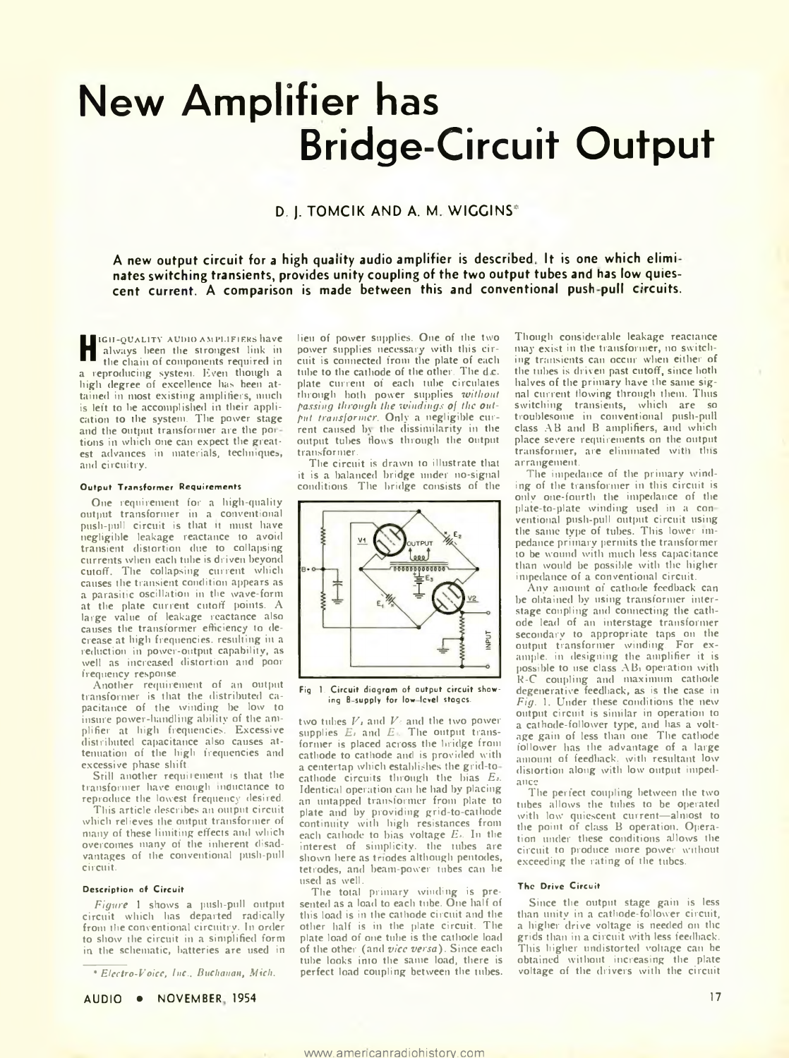# **New Amplifier has Bridge-Circuit Output**

# **D. J. TOMCIK AND A. M. WIGGINS\***

**A new output circuit for a high quality audio amplifier is described It is one which elimi nates switching transients, provides unity coupling of the two output tubes and has low quies**cent current. A comparison is made between this and conventional push-pull circuits.

**H** always been the strongest link in the chain of components required in igh-quality audio amplifiers have the chain of components required in a reproducing system. Even though a high degree of excellence has been attained in most existing amplifiers, much is left to be accomplished in their application to the system. The power stage and the output transformer are the pot tions in which one can expect the greatest advances in materials, techniques, and circuitry.

#### Output Transformer Requirements

One requirement for a high-quality output transformer in a conventional push-pull circuit is that it must have negligible leakage reactance to avoid transient distortion due to collapsing currents when each tube is driven beyond cutoff. The collapsing current which causes the transient condition appears as a parasitic oscillation in the wave-form at the plate current cutoff points. A large value of leakage reactance also causes the transformer efficiency to decrease at high frequencies, resulting in a reduction in power-output capability, as well as increased distortion and poor frequency response.

Another requirement of an output transformer is that the distributed capacitance of the winding be low to insure power-handling ability of the amplifier at high frequencies. Excessive distributed capacitance also causes attenuation of the high frequencies and excessive phase shift.

Still another requirement is that the transformer have enough inductance to reproduce the lowest frequency desired.

This article describes an output circuit which relieves the output transformer of many of these limiting effects and which overcomes many of the inherent disadvantages of the conventional push-pull circuit.

#### Description of Circuit

*Figure* 1 shows a push-pull output circuit which lias departed radically from the conventional circuitry. In order to show the circuit in a simplified form in the schematic, batteries are used in

*\* Electro-Voice, Inc., Buchanan, Mich.*

AUDIO • NOVEMBER 1954

lieu of power supplies. One of the two power supplies necessary with this circuit is connected from the plate of each tube to the cathode of the other. The d.c. plate current of each tube circulates through both power supplies *without passing through the windings of the output transformer.* Only a negligible current caused b\ the dissimilarity in the output tubes Hows through the output transformer.

The circuit is drawn to illustrate that it is a balanced bridge under no-signal conditions. The bridge consists of the



Fig. 1. Circuit diagram of output circuit showing B-supply for low-level stages.

two tubes *Vt* and *V»* and the two power supplies *Ei* and *E .* The output transformer is placed across the bridge from cathode to cathode and is provided with a centertap which establishes the grid-to cathode circuits through the bias *Ej.* Identical operation can he had by placing an untapped transformer from plate to plate and by providing grid-to-cathode continuity with high resistances from each cathode to bias voltage  $E<sub>3</sub>$ . In the interest of simplicity, the tubes are shown here as triodes although pentodes, tetrodes, and beam-power tubes can be used as well.

The total primary winding is presented as a load to each tube. One half of this load is in the cathode circuit and the other half is in the plate circuit. The plate load of one tube is the cathode load of the other (and *vice versa).* Since each tube looks into the same load, there is perfect load coupling between the tubes. Though considerable leakage reactance may exist in the transformer, no switching transients can occur when either of the tubes is driven past cutoff, since both halves of the primary have the same signal current flowing through them. Thus switching transients, which are so troublesome in conventional push-pull class AB and B amplifiers, and which place severe requirements on the output transformer, are eliminated with tins arrangement.

The impedance of the primary winding of the transformer in this circuit is only one-fourth the impedance of the plate-to-plate winding used in a con ventional push-pull output circuit using the same type of tubes. This lower impedance primary permits the transformer to be wound with much less capacitance than would be possible witli the higher impedance of a conventional circuit.

Any amount of cathode feedback can be obtained by using transformer interstage coupling and connecting the cathode lead of an interstage transformer secondary to appropriate taps on the output transformer winding. For example. in designing the amplifier it is possible to use class ABi operation with R-C coupling and maximum cathode degenerative feedback, as is the case in *Fig.* 1. Under these conditions the new output circuit is similar in operation to a cathode-follower type, and has a voltage gain of less than one. The cathode follower has the advantage of a large amount of feedback, with resultant low distortion along with low output impedance.

The perfect coupling between the two tubes allows the tubes to be operated with low' quiescent current—almost to the point of class B operation. Operation under these conditions allows the circuit to produce more power without exceeding the rating of the tubes.

### The Drive Circuit

Since the output stage gain is less than unity in a cathode-follower circuit, a higher drive voltage is needed on the grids than in a circuit with less feedback. This higher undistorted voltage can be obtained without increasing the plate voltage of the drivers with the circuit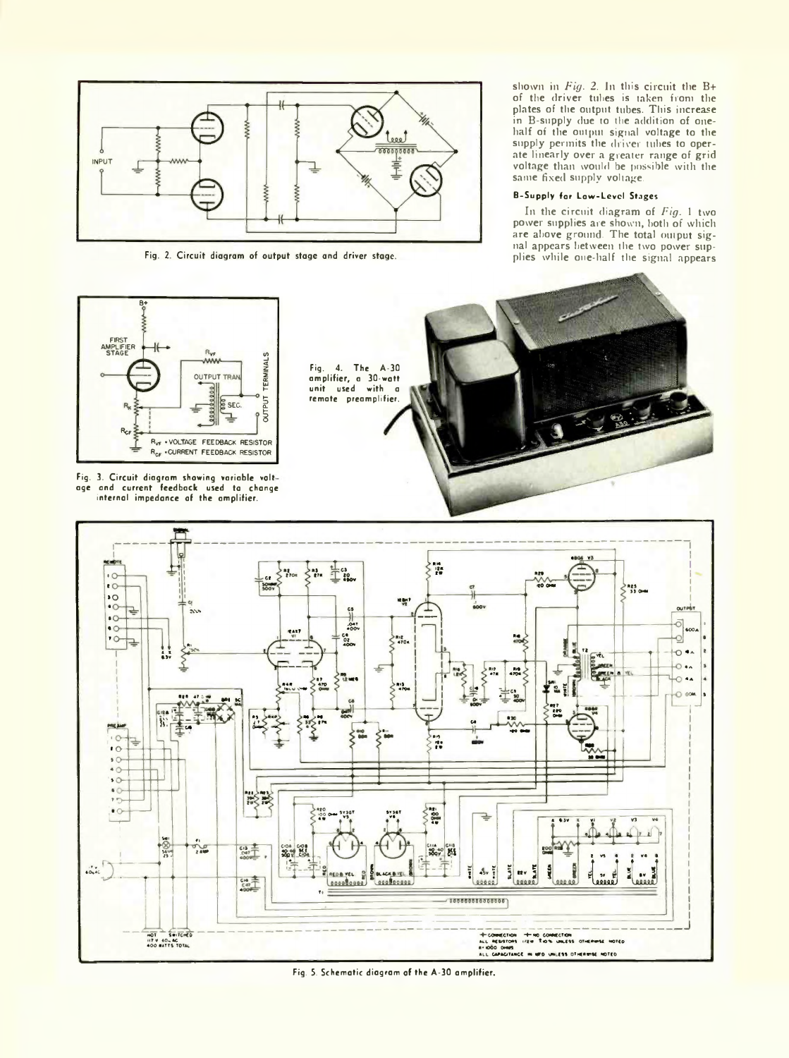

Fig. 2. Circuit diagram of output stage and driver stage.

shown in *Fig.* 2. In this circuit the B+ of the driver tubes is taken from the plates of the output tubes. This increase in B-supply due to the addition of onehalf of the output signal voltage to the supply permits the driver tubes to operate linearly over a greater range of grid voltage than would be possible with the same fixed supply voltage.

# B-Supply for Low-Level Stages

In the circuit diagram of *Fig.* 1 two power supplies are shown, both of which are above ground. The total output signal appears between the two power supplies while one-half the signal appears



Fig. 3. Circuit diagram showing variable volt age and current feedback used to change internal impedance of the amplifier.





Fig. 5. Schematic diagram of the A-30 amplifier.